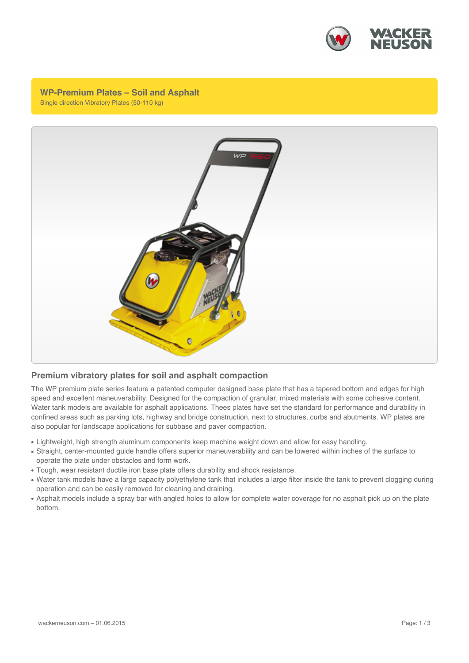

**WP-Premium Plates – Soil and Asphalt** Single direction Vibratory Plates (50-110 kg)



## **Premium vibratory plates for soil and asphalt compaction**

The WP premium plate series feature a patented computer designed base plate that has a tapered bottom and edges for high speed and excellent maneuverability. Designed for the compaction of granular, mixed materials with some cohesive content. Water tank models are available for asphalt applications. Thees plates have set the standard for performance and durability in confined areas such as parking lots, highway and bridge construction, next to structures, curbs and abutments. WP plates are also popular for landscape applications for subbase and paver compaction.

- Lightweight, high strength aluminum components keep machine weight down and allow for easy handling.
- Straight, center-mounted guide handle offers superior maneuverability and can be lowered within inches of the surface to operate the plate under obstacles and form work.
- Tough, wear resistant ductile iron base plate offers durability and shock resistance.
- Water tank models have a large capacity polyethylene tank that includes a large filter inside the tank to prevent clogging during operation and can be easily removed for cleaning and draining.
- Asphalt models include a spray bar with angled holes to allow for complete water coverage for no asphalt pick up on the plate bottom.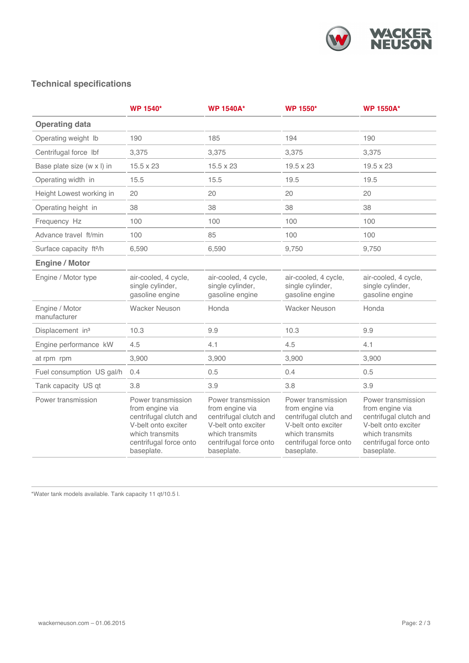

## **Technical specifications**

|                                    | <b>WP 1540*</b>                                                                                                                                   | <b>WP 1540A*</b>                                                                                                                                  | <b>WP 1550*</b>                                                                                                                                   | <b>WP 1550A*</b>                                                                                                                                  |
|------------------------------------|---------------------------------------------------------------------------------------------------------------------------------------------------|---------------------------------------------------------------------------------------------------------------------------------------------------|---------------------------------------------------------------------------------------------------------------------------------------------------|---------------------------------------------------------------------------------------------------------------------------------------------------|
| <b>Operating data</b>              |                                                                                                                                                   |                                                                                                                                                   |                                                                                                                                                   |                                                                                                                                                   |
| Operating weight Ib                | 190                                                                                                                                               | 185                                                                                                                                               | 194                                                                                                                                               | 190                                                                                                                                               |
| Centrifugal force lbf              | 3,375                                                                                                                                             | 3,375                                                                                                                                             | 3,375                                                                                                                                             | 3,375                                                                                                                                             |
| Base plate size (w x l) in         | 15.5 x 23                                                                                                                                         | 15.5 x 23                                                                                                                                         | 19.5 x 23                                                                                                                                         | 19.5 x 23                                                                                                                                         |
| Operating width in                 | 15.5                                                                                                                                              | 15.5                                                                                                                                              | 19.5                                                                                                                                              | 19.5                                                                                                                                              |
| Height Lowest working in           | 20                                                                                                                                                | 20                                                                                                                                                | 20                                                                                                                                                | 20                                                                                                                                                |
| Operating height in                | 38                                                                                                                                                | 38                                                                                                                                                | 38                                                                                                                                                | 38                                                                                                                                                |
| Frequency Hz                       | 100                                                                                                                                               | 100                                                                                                                                               | 100                                                                                                                                               | 100                                                                                                                                               |
| Advance travel ft/min              | 100                                                                                                                                               | 85                                                                                                                                                | 100                                                                                                                                               | 100                                                                                                                                               |
| Surface capacity ft <sup>2/h</sup> | 6,590                                                                                                                                             | 6,590                                                                                                                                             | 9,750                                                                                                                                             | 9,750                                                                                                                                             |
| <b>Engine / Motor</b>              |                                                                                                                                                   |                                                                                                                                                   |                                                                                                                                                   |                                                                                                                                                   |
| Engine / Motor type                | air-cooled, 4 cycle,<br>single cylinder,<br>gasoline engine                                                                                       | air-cooled, 4 cycle,<br>single cylinder,<br>gasoline engine                                                                                       | air-cooled, 4 cycle,<br>single cylinder,<br>gasoline engine                                                                                       | air-cooled, 4 cycle,<br>single cylinder,<br>gasoline engine                                                                                       |
| Engine / Motor<br>manufacturer     | <b>Wacker Neuson</b>                                                                                                                              | Honda                                                                                                                                             | <b>Wacker Neuson</b>                                                                                                                              | Honda                                                                                                                                             |
| Displacement in <sup>3</sup>       | 10.3                                                                                                                                              | 9.9                                                                                                                                               | 10.3                                                                                                                                              | 9.9                                                                                                                                               |
| Engine performance kW              | 4.5                                                                                                                                               | 4.1                                                                                                                                               | 4.5                                                                                                                                               | 4.1                                                                                                                                               |
| at rpm rpm                         | 3,900                                                                                                                                             | 3,900                                                                                                                                             | 3,900                                                                                                                                             | 3,900                                                                                                                                             |
| Fuel consumption US gal/h          | 0.4                                                                                                                                               | 0.5                                                                                                                                               | 0.4                                                                                                                                               | 0.5                                                                                                                                               |
| Tank capacity US qt                | 3.8                                                                                                                                               | 3.9                                                                                                                                               | 3.8                                                                                                                                               | 3.9                                                                                                                                               |
| Power transmission                 | Power transmission<br>from engine via<br>centrifugal clutch and<br>V-belt onto exciter<br>which transmits<br>centrifugal force onto<br>baseplate. | Power transmission<br>from engine via<br>centrifugal clutch and<br>V-belt onto exciter<br>which transmits<br>centrifugal force onto<br>baseplate. | Power transmission<br>from engine via<br>centrifugal clutch and<br>V-belt onto exciter<br>which transmits<br>centrifugal force onto<br>baseplate. | Power transmission<br>from engine via<br>centrifugal clutch and<br>V-belt onto exciter<br>which transmits<br>centrifugal force onto<br>baseplate. |

\*Water tank models available. Tank capacity 11 qt/10.5 l.